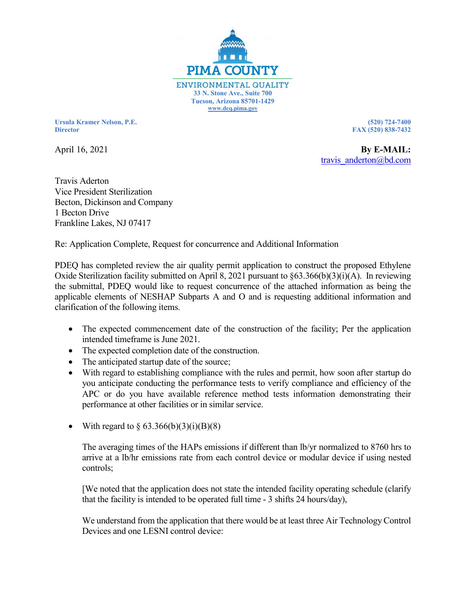

**Ursula Kramer Nelson, P.E. (520) 724-7400 Director FAX (520) 838-7432**

April 16, 2021 **By E-MAIL: By E-MAIL: By E-MAIL:** [travis\\_anderton@b](mailto:travis_anderton@)d.com

Travis Aderton Vice President Sterilization Becton, Dickinson and Company 1 Becton Drive Frankline Lakes, NJ 07417

Re: Application Complete, Request for concurrence and Additional Information

PDEQ has completed review the air quality permit application to construct the proposed Ethylene Oxide Sterilization facility submitted on April 8, 2021 pursuant to §63.366(b)(3)(i)(A). In reviewing the submittal, PDEQ would like to request concurrence of the attached information as being the applicable elements of NESHAP Subparts A and O and is requesting additional information and clarification of the following items.

- The expected commencement date of the construction of the facility; Per the application intended timeframe is June 2021.
- The expected completion date of the construction.
- The anticipated startup date of the source;
- With regard to establishing compliance with the rules and permit, how soon after startup do you anticipate conducting the performance tests to verify compliance and efficiency of the APC or do you have available reference method tests information demonstrating their performance at other facilities or in similar service.
- With regard to  $\S 63.366(b)(3)(i)(B)(8)$

The averaging times of the HAPs emissions if different than lb/yr normalized to 8760 hrs to arrive at a lb/hr emissions rate from each control device or modular device if using nested controls;

[We noted that the application does not state the intended facility operating schedule (clarify that the facility is intended to be operated full time - 3 shifts 24 hours/day),

We understand from the application that there would be at least three Air Technology Control Devices and one LESNI control device: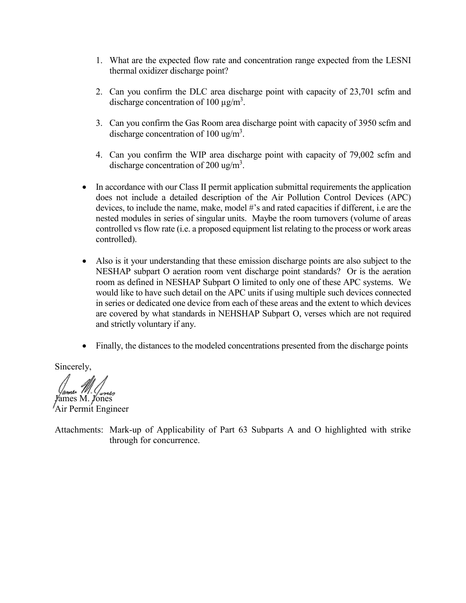- 1. What are the expected flow rate and concentration range expected from the LESNI thermal oxidizer discharge point?
- 2. Can you confirm the DLC area discharge point with capacity of 23,701 scfm and discharge concentration of 100  $\mu$ g/m<sup>3</sup>.
- 3. Can you confirm the Gas Room area discharge point with capacity of 3950 scfm and discharge concentration of 100 ug/m<sup>3</sup>.
- 4. Can you confirm the WIP area discharge point with capacity of 79,002 scfm and discharge concentration of 200 ug/m<sup>3</sup>.
- In accordance with our Class II permit application submittal requirements the application does not include a detailed description of the Air Pollution Control Devices (APC) devices, to include the name, make, model #'s and rated capacities if different, i.e are the nested modules in series of singular units. Maybe the room turnovers (volume of areas controlled vs flow rate (i.e. a proposed equipment list relating to the process or work areas controlled).
- Also is it your understanding that these emission discharge points are also subject to the NESHAP subpart O aeration room vent discharge point standards? Or is the aeration room as defined in NESHAP Subpart O limited to only one of these APC systems. We would like to have such detail on the APC units if using multiple such devices connected in series or dedicated one device from each of these areas and the extent to which devices are covered by what standards in NEHSHAP Subpart O, verses which are not required and strictly voluntary if any.
- Finally, the distances to the modeled concentrations presented from the discharge points

Sincerely,

James M. Jones Air Permit Engineer

Attachments: Mark-up of Applicability of Part 63 Subparts A and O highlighted with strike through for concurrence.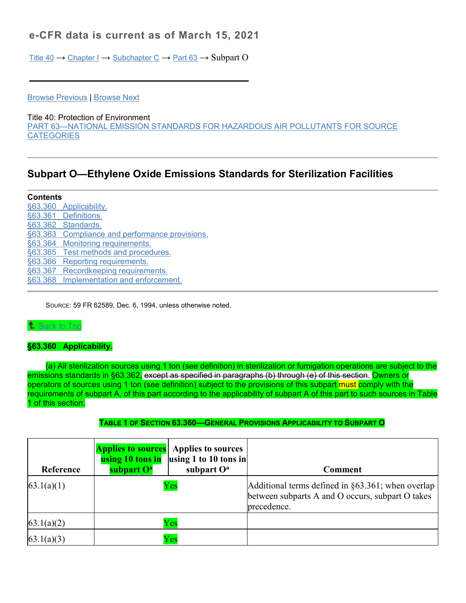# **e-CFR data is current as of March 15, 2021**

[Title 40](https://www.ecfr.gov/cgi-bin/text-idx?gp=&SID=5e27987baa3dcece364242439c4cec24&mc=true&tpl=/ecfrbrowse/Title40/40tab_02.tpl) → [Chapter I](https://www.ecfr.gov/cgi-bin/text-idx?gp=&SID=5e27987baa3dcece364242439c4cec24&mc=true&tpl=/ecfrbrowse/Title40/40chapterI.tpl) → [Subchapter C](https://www.ecfr.gov/cgi-bin/text-idx?gp=&SID=5e27987baa3dcece364242439c4cec24&mc=true&tpl=/ecfrbrowse/Title40/40CIsubchapC.tpl) → [Part 63](https://www.ecfr.gov/cgi-bin/retrieveECFR?gp=&SID=5e27987baa3dcece364242439c4cec24&mc=true&n=pt40.11.63&r=PART&ty=HTML) → Subpart O

[Browse Previous](https://www.ecfr.gov/cgi-bin/retrieveECFR?gp=&SID=5e27987baa3dcece364242439c4cec24&mc=true&r=SUBPART&n=sp40.11.63.n) | [Browse Next](https://www.ecfr.gov/cgi-bin/retrieveECFR?gp=&SID=5e27987baa3dcece364242439c4cec24&mc=true&r=SUBPART&n=sp40.11.63.p)

Title 40: Protection of Environment [PART 63—NATIONAL EMISSION STANDARDS FOR HAZARDOUS](https://www.ecfr.gov/cgi-bin/retrieveECFR?gp=&SID=5e27987baa3dcece364242439c4cec24&mc=true&n=pt40.11.63&r=PART&ty=HTML) AIR POLLUTANTS FOR SOURCE **[CATEGORIES](https://www.ecfr.gov/cgi-bin/retrieveECFR?gp=&SID=5e27987baa3dcece364242439c4cec24&mc=true&n=pt40.11.63&r=PART&ty=HTML)** 

# **Subpart O—Ethylene Oxide Emissions Standards for Sterilization Facilities**

| <b>Contents</b> |                                         |
|-----------------|-----------------------------------------|
|                 | §63.360 Applicability.                  |
|                 | §63.361 Definitions.                    |
|                 | §63.362 Standards.                      |
| §63.363         | Compliance and performance provisions.  |
|                 | §63.364 Monitoring requirements.        |
|                 | §63.365 Test methods and procedures.    |
| §63.366         | Reporting requirements.                 |
|                 | §63.367 Recordkeeping requirements.     |
|                 | §63.368 Implementation and enforcement. |

SOURCE: 59 FR 62589, Dec. 6, 1994, unless otherwise noted.

## $^{\textcolor{red}{\bullet}}$  [Back to Top](https://www.ecfr.gov/cgi-bin/text-idx?SID=fa23413a701b00b8ded2a0ec8d450156&mc=true&node=sp40.11.63.o&rgn=div6#_top)

### **§63.360 Applicability.**

(a) All sterilization sources using 1 ton (see definition) in sterilization or fumigation operations are subject to the emissions standards in §63.362, except as specified in paragraphs (b) through (e) of this section. Owners or operators of sources using 1 ton (see definition) subject to the provisions of this subpart must comply with the requirements of subpart A, of this part according to the applicability of subpart A of this part to such sources in Table 1 of this section.

### **TABLE 1 OF SECTION 63.360—GENERAL PROVISIONS APPLICABILITY TO SUBPART O**

| Reference  | subpart O <sup>a</sup> | <b>Applies to sources</b> Applies to sources<br>using 10 tons in using 1 to 10 tons in<br>subpart O <sup>a</sup> | Comment                                                                                                                   |
|------------|------------------------|------------------------------------------------------------------------------------------------------------------|---------------------------------------------------------------------------------------------------------------------------|
| 63.1(a)(1) |                        | Yes                                                                                                              | Additional terms defined in $\S 63.361$ ; when overlap<br>between subparts A and O occurs, subpart O takes<br>precedence. |
| 63.1(a)(2) |                        | Yes                                                                                                              |                                                                                                                           |
| 63.1(a)(3) |                        | $\rm Yes$                                                                                                        |                                                                                                                           |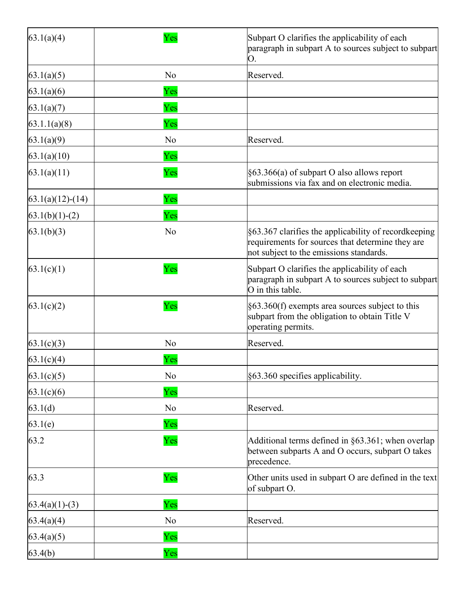| 63.1(a)(4)         | Yes            | Subpart O clarifies the applicability of each<br>paragraph in subpart A to sources subject to subpart<br>О.                                         |  |
|--------------------|----------------|-----------------------------------------------------------------------------------------------------------------------------------------------------|--|
| 63.1(a)(5)         | No             | Reserved.                                                                                                                                           |  |
| 63.1(a)(6)         | Yes            |                                                                                                                                                     |  |
| 63.1(a)(7)         | Yes            |                                                                                                                                                     |  |
| 63.1.1(a)(8)       | Yes            |                                                                                                                                                     |  |
| 63.1(a)(9)         | No             | Reserved.                                                                                                                                           |  |
| 63.1(a)(10)        | Yes            |                                                                                                                                                     |  |
| 63.1(a)(11)        | Yes            | §63.366(a) of subpart O also allows report<br>submissions via fax and on electronic media.                                                          |  |
| $63.1(a)(12)-(14)$ | Yes            |                                                                                                                                                     |  |
| $63.1(b)(1)-(2)$   | Yes            |                                                                                                                                                     |  |
| 63.1(b)(3)         | No             | §63.367 clarifies the applicability of recordkeeping<br>requirements for sources that determine they are<br>not subject to the emissions standards. |  |
| 63.1(c)(1)         | Yes            | Subpart O clarifies the applicability of each<br>paragraph in subpart A to sources subject to subpart<br>O in this table.                           |  |
| 63.1(c)(2)         | Yes            | $§63.360(f)$ exempts area sources subject to this<br>subpart from the obligation to obtain Title V<br>operating permits.                            |  |
| 63.1(c)(3)         | N <sub>o</sub> | Reserved.                                                                                                                                           |  |
| 63.1(c)(4)         | Yes            |                                                                                                                                                     |  |
| 63.1(c)(5)         | N <sub>o</sub> | §63.360 specifies applicability.                                                                                                                    |  |
| 63.1(c)(6)         | Yes            |                                                                                                                                                     |  |
| 63.1(d)            | No             | Reserved.                                                                                                                                           |  |
| 63.1(e)            | Yes            |                                                                                                                                                     |  |
| 63.2               | Yes            | Additional terms defined in $\S 63.361$ ; when overlap<br>between subparts A and O occurs, subpart O takes<br>precedence.                           |  |
| 63.3               | Yes            | Other units used in subpart O are defined in the text<br>of subpart O.                                                                              |  |
| $63.4(a)(1)-(3)$   | Yes            |                                                                                                                                                     |  |
| 63.4(a)(4)         | No             | Reserved.                                                                                                                                           |  |
| 63.4(a)(5)         | Yes            |                                                                                                                                                     |  |
| 63.4(b)            | Yes            |                                                                                                                                                     |  |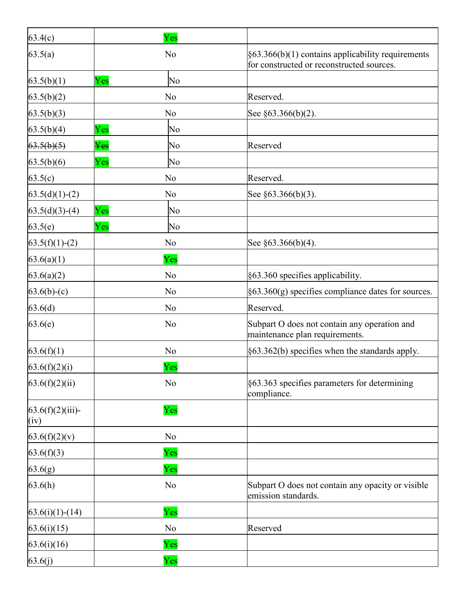| 63.4(c)                     | Yes                          |                                                                                                            |
|-----------------------------|------------------------------|------------------------------------------------------------------------------------------------------------|
| 63.5(a)                     | No                           | $\frac{1}{5}63.366(b)(1)$ contains applicability requirements<br>for constructed or reconstructed sources. |
| 63.5(b)(1)                  | Yes<br>No                    |                                                                                                            |
| 63.5(b)(2)                  | No                           | Reserved.                                                                                                  |
| 63.5(b)(3)                  | No                           | See §63.366(b)(2).                                                                                         |
| 63.5(b)(4)                  | Yes<br>No                    |                                                                                                            |
| 63.5(b)(5)                  | $\rm Yes$<br>No              | Reserved                                                                                                   |
| 63.5(b)(6)                  | Yes<br>No                    |                                                                                                            |
| 63.5(c)                     | No                           | Reserved.                                                                                                  |
| $63.5(d)(1)-(2)$            | No                           | See $\S 63.366(b)(3)$ .                                                                                    |
| $63.5(d)(3)-(4)$            | $\overline{{\rm Yes}}$<br>No |                                                                                                            |
| 63.5(e)                     | Yes<br>No                    |                                                                                                            |
| $63.5(f)(1)-(2)$            | No                           | See §63.366(b)(4).                                                                                         |
| 63.6(a)(1)                  | Yes                          |                                                                                                            |
| 63.6(a)(2)                  | No                           | §63.360 specifies applicability.                                                                           |
| $63.6(b)-(c)$               | No                           | $\frac{1}{5}63.360(g)$ specifies compliance dates for sources.                                             |
| 63.6(d)                     | No                           | Reserved.                                                                                                  |
| 63.6(e)                     | No                           | Subpart O does not contain any operation and<br>maintenance plan requirements.                             |
| 63.6(f)(1)                  | No                           | $\frac{1}{5}63.362(b)$ specifies when the standards apply.                                                 |
| 63.6(f)(2)(i)               | Yes                          |                                                                                                            |
| 63.6(f)(2)(ii)              | No                           | §63.363 specifies parameters for determining<br>compliance.                                                |
| $63.6(f)(2)(iii)$ -<br>(iv) | Yes                          |                                                                                                            |
| 63.6(f)(2)(v)               | No                           |                                                                                                            |
| 63.6(f)(3)                  | Yes                          |                                                                                                            |
| 63.6(g)                     | Yes                          |                                                                                                            |
| 63.6(h)                     | No                           | Subpart O does not contain any opacity or visible<br>emission standards.                                   |
| $63.6(i)(1)-(14)$           | Yes                          |                                                                                                            |
| 63.6(i)(15)                 | No                           | Reserved                                                                                                   |
| 63.6(i)(16)                 | Yes                          |                                                                                                            |
| 63.6(j)                     | Yes                          |                                                                                                            |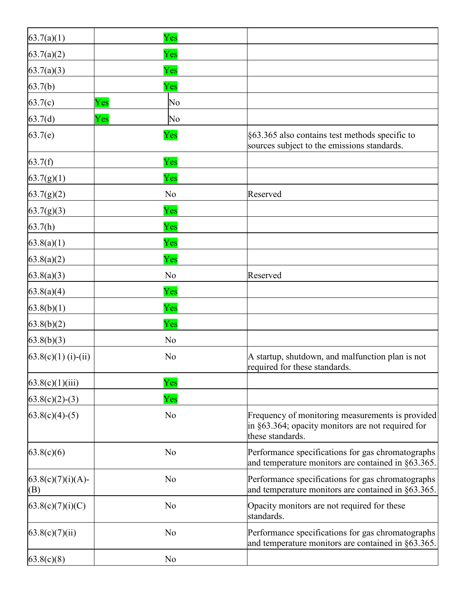| 63.7(a)(1)                  | Yes            |                                                                                                                           |
|-----------------------------|----------------|---------------------------------------------------------------------------------------------------------------------------|
| 63.7(a)(2)                  | Yes            |                                                                                                                           |
| 63.7(a)(3)                  | Yes            |                                                                                                                           |
| 63.7(b)                     | Yes            |                                                                                                                           |
| 63.7(c)<br>Yes              | No             |                                                                                                                           |
| Yes<br>63.7(d)              | No             |                                                                                                                           |
| 63.7(e)                     | Yes            | §63.365 also contains test methods specific to<br>sources subject to the emissions standards.                             |
| 63.7(f)                     | Yes            |                                                                                                                           |
| 63.7(g)(1)                  | Yes            |                                                                                                                           |
| 63.7(g)(2)                  | No             | Reserved                                                                                                                  |
| 63.7(g)(3)                  | Yes            |                                                                                                                           |
| 63.7(h)                     | Yes            |                                                                                                                           |
| 63.8(a)(1)                  | Yes            |                                                                                                                           |
| 63.8(a)(2)                  | Yes            |                                                                                                                           |
| 63.8(a)(3)                  | No             | Reserved                                                                                                                  |
| 63.8(a)(4)                  | Yes            |                                                                                                                           |
| 63.8(b)(1)                  | Yes            |                                                                                                                           |
| 63.8(b)(2)                  | Yes            |                                                                                                                           |
| 63.8(b)(3)                  | No             |                                                                                                                           |
| $63.8(c)(1)$ (i)-(ii)       | No             | A startup, shutdown, and malfunction plan is not<br>required for these standards.                                         |
| 63.8(c)(1)(iii)             | Yes            |                                                                                                                           |
| $63.8(c)(2)-(3)$            | Yes            |                                                                                                                           |
| $63.8(c)(4)-(5)$            | N <sub>o</sub> | Frequency of monitoring measurements is provided<br>in §63.364; opacity monitors are not required for<br>these standards. |
| 63.8(c)(6)                  | No             | Performance specifications for gas chromatographs<br>and temperature monitors are contained in §63.365.                   |
| $63.8(c)(7)(i)(A)$ -<br>(B) | N <sub>o</sub> | Performance specifications for gas chromatographs<br>and temperature monitors are contained in $\S 63.365$ .              |
| 63.8(c)(7)(i)(C)            | N <sub>o</sub> | Opacity monitors are not required for these<br>standards.                                                                 |
| 63.8(c)(7)(ii)              | No             | Performance specifications for gas chromatographs<br>and temperature monitors are contained in §63.365.                   |
| 63.8(c)(8)                  | No             |                                                                                                                           |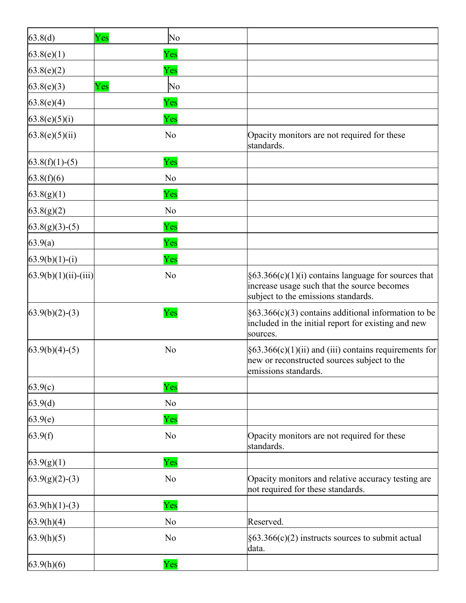| 63.8(d)                  | Yes | No             |                                                                                                                                             |
|--------------------------|-----|----------------|---------------------------------------------------------------------------------------------------------------------------------------------|
| 63.8(e)(1)               |     | Yes            |                                                                                                                                             |
| 63.8(e)(2)               |     | Yes            |                                                                                                                                             |
| 63.8(e)(3)               | Yes | No             |                                                                                                                                             |
| 63.8(e)(4)               |     | Yes            |                                                                                                                                             |
| 63.8(e)(5)(i)            |     | Yes            |                                                                                                                                             |
| 63.8(e)(5)(ii)           |     | No             | Opacity monitors are not required for these<br>standards.                                                                                   |
| $63.8(f)(1)-(5)$         |     | Yes            |                                                                                                                                             |
| 63.8(f)(6)               |     | No             |                                                                                                                                             |
| 63.8(g)(1)               |     | Yes            |                                                                                                                                             |
| 63.8(g)(2)               |     | N <sub>o</sub> |                                                                                                                                             |
| $63.8(g)(3)-(5)$         |     | Yes            |                                                                                                                                             |
| 63.9(a)                  |     | Yes            |                                                                                                                                             |
| $63.9(b)(1)-(i)$         |     | Yes            |                                                                                                                                             |
| $(63.9(b)(1)(ii)-(iii))$ |     | No             | $§63.366(c)(1)(i)$ contains language for sources that<br>increase usage such that the source becomes<br>subject to the emissions standards. |
| $63.9(b)(2)-(3)$         |     | Yes            | $§63.366(c)(3)$ contains additional information to be<br>included in the initial report for existing and new<br>sources.                    |
| $63.9(b)(4)-(5)$         |     | No             | $\S63.366(c)(1)(ii)$ and (iii) contains requirements for<br>new or reconstructed sources subject to the<br>emissions standards.             |
| 63.9(c)                  |     | Yes            |                                                                                                                                             |
| 63.9(d)                  |     | N <sub>o</sub> |                                                                                                                                             |
| 63.9(e)                  |     | Yes            |                                                                                                                                             |
| 63.9(f)                  |     | No             | Opacity monitors are not required for these<br>standards.                                                                                   |
| 63.9(g)(1)               |     | Yes            |                                                                                                                                             |
| $63.9(g)(2)-(3)$         |     | No             | Opacity monitors and relative accuracy testing are<br>not required for these standards.                                                     |
| $63.9(h)(1)-(3)$         |     | Yes            |                                                                                                                                             |
| 63.9(h)(4)               |     | No             | Reserved.                                                                                                                                   |
| 63.9(h)(5)               |     | No             | $\S63.366(c)(2)$ instructs sources to submit actual<br>data.                                                                                |
| 63.9(h)(6)               |     | Yes            |                                                                                                                                             |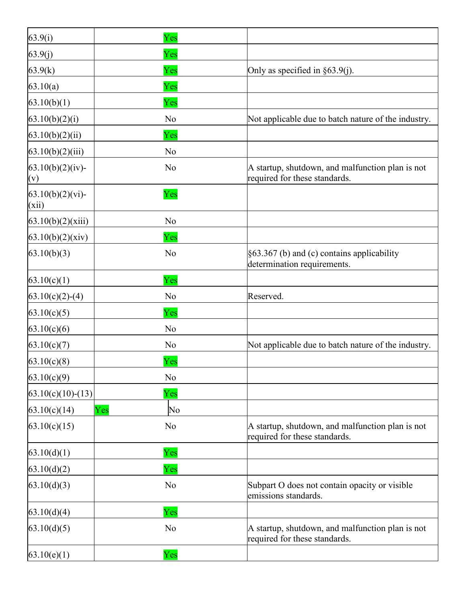| 63.9(i)                      | Yes            |                                                                                   |
|------------------------------|----------------|-----------------------------------------------------------------------------------|
| 63.9(j)                      | Yes            |                                                                                   |
| 63.9(k)                      | Yes            | Only as specified in $\S 63.9(j)$ .                                               |
| 63.10(a)                     | Yes            |                                                                                   |
| 63.10(b)(1)                  | Yes            |                                                                                   |
| 63.10(b)(2)(i)               | N <sub>o</sub> | Not applicable due to batch nature of the industry.                               |
| 63.10(b)(2)(ii)              | Yes            |                                                                                   |
| 63.10(b)(2)(iii)             | No             |                                                                                   |
| $63.10(b)(2)(iv)$ -<br>(v)   | No             | A startup, shutdown, and malfunction plan is not<br>required for these standards. |
| $63.10(b)(2)(vi)$ -<br>(xii) | Yes            |                                                                                   |
| 63.10(b)(2)(xiii)            | N <sub>o</sub> |                                                                                   |
| 63.10(b)(2)(xiv)             | Yes            |                                                                                   |
| 63.10(b)(3)                  | N <sub>o</sub> | $§63.367$ (b) and (c) contains applicability<br>determination requirements.       |
| 63.10(c)(1)                  | Yes            |                                                                                   |
| $63.10(c)(2)-(4)$            | No             | Reserved.                                                                         |
| 63.10(c)(5)                  | Yes            |                                                                                   |
| 63.10(c)(6)                  | N <sub>o</sub> |                                                                                   |
| 63.10(c)(7)                  | N <sub>o</sub> | Not applicable due to batch nature of the industry.                               |
| 63.10(c)(8)                  | Yes            |                                                                                   |
| 63.10(c)(9)                  | No             |                                                                                   |
| $63.10(c)(10)-(13)$          | Yes            |                                                                                   |
| Yes<br>63.10(c)(14)          | No             |                                                                                   |
| 63.10(c)(15)                 | N <sub>o</sub> | A startup, shutdown, and malfunction plan is not<br>required for these standards. |
| 63.10(d)(1)                  | Yes            |                                                                                   |
| 63.10(d)(2)                  | Yes            |                                                                                   |
| 63.10(d)(3)                  | N <sub>o</sub> | Subpart O does not contain opacity or visible<br>emissions standards.             |
| 63.10(d)(4)                  | Yes            |                                                                                   |
| 63.10(d)(5)                  | N <sub>o</sub> | A startup, shutdown, and malfunction plan is not<br>required for these standards. |
| 63.10(e)(1)                  | Yes            |                                                                                   |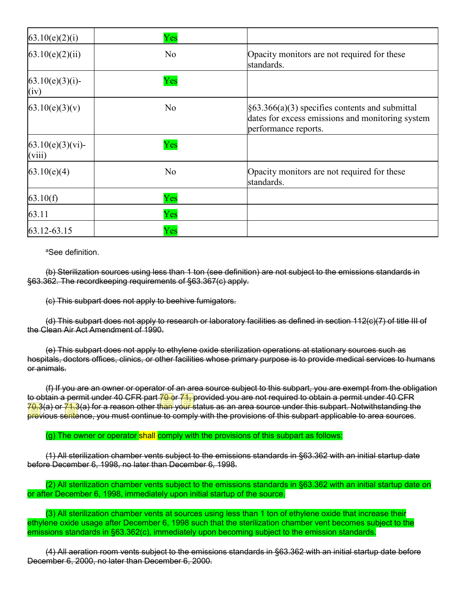| 63.10(e)(2)(i)                | Yes            |                                                                                                                                        |
|-------------------------------|----------------|----------------------------------------------------------------------------------------------------------------------------------------|
| 63.10(e)(2)(ii)               | N <sub>o</sub> | Opacity monitors are not required for these<br>standards.                                                                              |
| $63.10(e)(3)(i)$ -<br>(iv)    | Yes            |                                                                                                                                        |
| 63.10(e)(3)(v)                | N <sub>o</sub> | $\frac{1}{5}63.366(a)(3)$ specifies contents and submittal<br>dates for excess emissions and monitoring system<br>performance reports. |
| $63.10(e)(3)(vi)$ -<br>(viii) | Yes            |                                                                                                                                        |
| 63.10(e)(4)                   | N <sub>o</sub> | Opacity monitors are not required for these<br>standards.                                                                              |
| 63.10(f)                      | Yes            |                                                                                                                                        |
| 63.11                         | Yes            |                                                                                                                                        |
| 63.12-63.15                   | $\rm Yes$      |                                                                                                                                        |

aSee definition.

(b) Sterilization sources using less than 1 ton (see definition) are not subject to the emissions standards in §63.362. The recordkeeping requirements of §63.367(c) apply.

(c) This subpart does not apply to beehive fumigators.

(d) This subpart does not apply to research or laboratory facilities as defined in section 112(c)(7) of title III of the Clean Air Act Amendment of 1990.

(e) This subpart does not apply to ethylene oxide sterilization operations at stationary sources such as hospitals, doctors offices, clinics, or other facilities whose primary purpose is to provide medical services to humans or animals.

(f) If you are an owner or operator of an area source subject to this subpart, you are exempt from the obligation to obtain a permit under 40 CFR part 70 or 71, provided you are not required to obtain a permit under 40 CFR 70.3(a) or 71.3(a) for a reason other than your status as an area source under this subpart. Notwithstanding the previous sentence, you must continue to comply with the provisions of this subpart applicable to area sources.

(g) The owner or operator shall comply with the provisions of this subpart as follows:

(1) All sterilization chamber vents subject to the emissions standards in §63.362 with an initial startup date before December 6, 1998, no later than December 6, 1998.

(2) All sterilization chamber vents subject to the emissions standards in §63.362 with an initial startup date on or after December 6, 1998, immediately upon initial startup of the source.

(3) All sterilization chamber vents at sources using less than 1 ton of ethylene oxide that increase their ethylene oxide usage after December 6, 1998 such that the sterilization chamber vent becomes subject to the emissions standards in §63.362(c), immediately upon becoming subject to the emission standards.

(4) All aeration room vents subject to the emissions standards in §63.362 with an initial startup date before December 6, 2000, no later than December 6, 2000.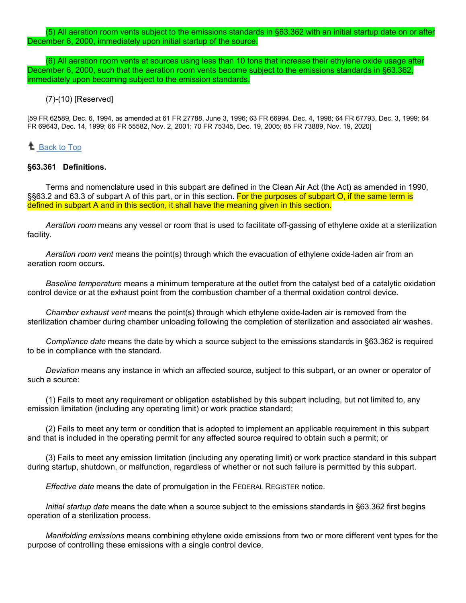(5) All aeration room vents subject to the emissions standards in §63.362 with an initial startup date on or after December 6, 2000, immediately upon initial startup of the source.

(6) All aeration room vents at sources using less than 10 tons that increase their ethylene oxide usage after December 6, 2000, such that the aeration room vents become subject to the emissions standards in §63.362, immediately upon becoming subject to the emission standards.

(7)-(10) [Reserved]

[59 FR 62589, Dec. 6, 1994, as amended at 61 FR 27788, June 3, 1996; 63 FR 66994, Dec. 4, 1998; 64 FR 67793, Dec. 3, 1999; 64 FR 69643, Dec. 14, 1999; 66 FR 55582, Nov. 2, 2001; 70 FR 75345, Dec. 19, 2005; 85 FR 73889, Nov. 19, 2020]

# **<sup>1</sup>** [Back to Top](https://www.ecfr.gov/cgi-bin/text-idx?SID=fa23413a701b00b8ded2a0ec8d450156&mc=true&node=sp40.11.63.o&rgn=div6#_top)

#### **§63.361 Definitions.**

Terms and nomenclature used in this subpart are defined in the Clean Air Act (the Act) as amended in 1990, §§63.2 and 63.3 of subpart A of this part, or in this section. For the purposes of subpart O, if the same term is defined in subpart A and in this section, it shall have the meaning given in this section.

*Aeration room* means any vessel or room that is used to facilitate off-gassing of ethylene oxide at a sterilization facility.

*Aeration room vent* means the point(s) through which the evacuation of ethylene oxide-laden air from an aeration room occurs.

*Baseline temperature* means a minimum temperature at the outlet from the catalyst bed of a catalytic oxidation control device or at the exhaust point from the combustion chamber of a thermal oxidation control device.

*Chamber exhaust vent* means the point(s) through which ethylene oxide-laden air is removed from the sterilization chamber during chamber unloading following the completion of sterilization and associated air washes.

*Compliance date* means the date by which a source subject to the emissions standards in §63.362 is required to be in compliance with the standard.

*Deviation* means any instance in which an affected source, subject to this subpart, or an owner or operator of such a source:

(1) Fails to meet any requirement or obligation established by this subpart including, but not limited to, any emission limitation (including any operating limit) or work practice standard;

(2) Fails to meet any term or condition that is adopted to implement an applicable requirement in this subpart and that is included in the operating permit for any affected source required to obtain such a permit; or

(3) Fails to meet any emission limitation (including any operating limit) or work practice standard in this subpart during startup, shutdown, or malfunction, regardless of whether or not such failure is permitted by this subpart.

*Effective date* means the date of promulgation in the FEDERAL REGISTER notice.

*Initial startup date* means the date when a source subject to the emissions standards in §63.362 first begins operation of a sterilization process.

*Manifolding emissions* means combining ethylene oxide emissions from two or more different vent types for the purpose of controlling these emissions with a single control device.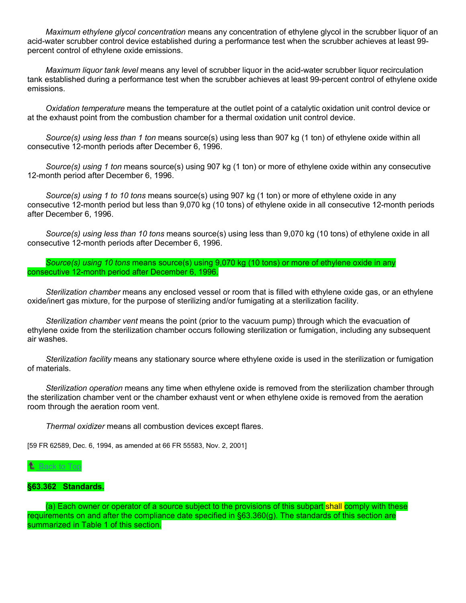*Maximum ethylene glycol concentration* means any concentration of ethylene glycol in the scrubber liquor of an acid-water scrubber control device established during a performance test when the scrubber achieves at least 99 percent control of ethylene oxide emissions.

*Maximum liquor tank level* means any level of scrubber liquor in the acid-water scrubber liquor recirculation tank established during a performance test when the scrubber achieves at least 99-percent control of ethylene oxide emissions.

*Oxidation temperature* means the temperature at the outlet point of a catalytic oxidation unit control device or at the exhaust point from the combustion chamber for a thermal oxidation unit control device.

*Source(s) using less than 1 ton* means source(s) using less than 907 kg (1 ton) of ethylene oxide within all consecutive 12-month periods after December 6, 1996.

*Source(s) using 1 ton* means source(s) using 907 kg (1 ton) or more of ethylene oxide within any consecutive 12-month period after December 6, 1996.

*Source(s) using 1 to 10 tons* means source(s) using 907 kg (1 ton) or more of ethylene oxide in any consecutive 12-month period but less than 9,070 kg (10 tons) of ethylene oxide in all consecutive 12-month periods after December 6, 1996.

*Source(s) using less than 10 tons* means source(s) using less than 9,070 kg (10 tons) of ethylene oxide in all consecutive 12-month periods after December 6, 1996.

*Source(s) using 10 tons* means source(s) using 9,070 kg (10 tons) or more of ethylene oxide in any consecutive 12-month period after December 6, 1996.

*Sterilization chamber* means any enclosed vessel or room that is filled with ethylene oxide gas, or an ethylene oxide/inert gas mixture, for the purpose of sterilizing and/or fumigating at a sterilization facility.

*Sterilization chamber vent* means the point (prior to the vacuum pump) through which the evacuation of ethylene oxide from the sterilization chamber occurs following sterilization or fumigation, including any subsequent air washes.

*Sterilization facility* means any stationary source where ethylene oxide is used in the sterilization or fumigation of materials.

*Sterilization operation* means any time when ethylene oxide is removed from the sterilization chamber through the sterilization chamber vent or the chamber exhaust vent or when ethylene oxide is removed from the aeration room through the aeration room vent.

*Thermal oxidizer* means all combustion devices except flares.

[59 FR 62589, Dec. 6, 1994, as amended at 66 FR 55583, Nov. 2, 2001]

## $^{\text{2}}$  [Back to Top](https://www.ecfr.gov/cgi-bin/text-idx?SID=fa23413a701b00b8ded2a0ec8d450156&mc=true&node=sp40.11.63.o&rgn=div6#_top)

### **§63.362 Standards.**

(a) Each owner or operator of a source subject to the provisions of this subpart shall comply with these requirements on and after the compliance date specified in §63.360(g). The standards of this section are summarized in Table 1 of this section.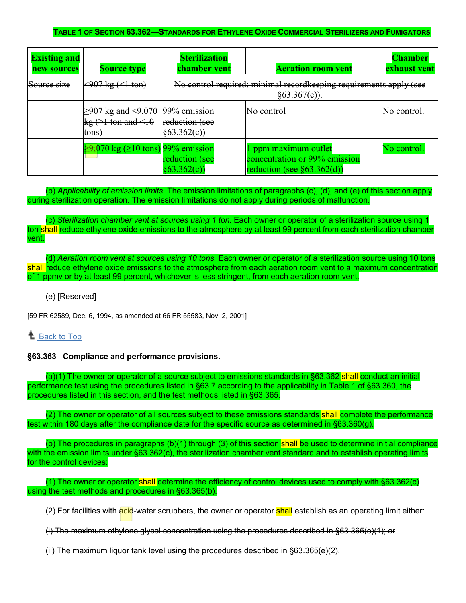### **TABLE 1 OF SECTION 63.362—STANDARDS FOR ETHYLENE OXIDE COMMERCIAL STERILIZERS AND FUMIGATORS**

| <b>Existing and</b><br>new sources | <b>Source type</b>                                                       | <b>Sterilization</b><br>chamber vent              | <b>Aeration room vent</b>                                                                   | <b>Chamber</b><br>exhaust vent |
|------------------------------------|--------------------------------------------------------------------------|---------------------------------------------------|---------------------------------------------------------------------------------------------|--------------------------------|
| Source size                        | $\leq 907 \text{ kg} (\leq 1 \text{ ton})$                               |                                                   | No control required; minimal recordkeeping requirements apply (see<br>$\frac{63.367(e)}{6}$ |                                |
|                                    | $\geq 907$ kg and $\leq 9,070$<br>$kg (21 \text{ ton and} < 10$<br>tons) | 99% emission<br>reduction (see<br>$\{63.362(e)\}$ | <del>No control</del>                                                                       | <del>No contro</del>           |
|                                    | $\frac{1}{2}070 \text{ kg} (\geq 10 \text{ tons})$ 99% emission          | reduction (see<br>§63.362(c)                      | ppm maximum outlet<br>concentration or 99% emission<br>reduction (see $\S 63.362(d)$ )      | No control                     |

(b) *Applicability of emission limits.* The emission limitations of paragraphs (c), (d), and (e) of this section apply during sterilization operation. The emission limitations do not apply during periods of malfunction.

(c) *Sterilization chamber vent at sources using 1 ton.* Each owner or operator of a sterilization source using 1 ton shall reduce ethylene oxide emissions to the atmosphere by at least 99 percent from each sterilization chamber vent.

(d) *Aeration room vent at sources using 10 tons.* Each owner or operator of a sterilization source using 10 tons shall reduce ethylene oxide emissions to the atmosphere from each aeration room vent to a maximum concentration of 1 ppmv or by at least 99 percent, whichever is less stringent, from each aeration room vent.

### (e) [Reserved]

[59 FR 62589, Dec. 6, 1994, as amended at 66 FR 55583, Nov. 2, 2001]

# **L** [Back to Top](https://www.ecfr.gov/cgi-bin/text-idx?SID=fa23413a701b00b8ded2a0ec8d450156&mc=true&node=sp40.11.63.o&rgn=div6#_top)

### **§63.363 Compliance and performance provisions.**

(a)(1) The owner or operator of a source subject to emissions standards in §63.362 shall conduct an initial performance test using the procedures listed in §63.7 according to the applicability in Table 1 of §63.360, the procedures listed in this section, and the test methods listed in §63.365.

(2) The owner or operator of all sources subject to these emissions standards shall complete the performance test within 180 days after the compliance date for the specific source as determined in §63.360(g).

(b) The procedures in paragraphs (b)(1) through (3) of this section shall be used to determine initial compliance with the emission limits under §63.362(c), the sterilization chamber vent standard and to establish operating limits for the control devices:

(1) The owner or operator shall determine the efficiency of control devices used to comply with §63.362(c) using the test methods and procedures in §63.365(b).

(2) For facilities with acid-water scrubbers, the owner or operator shall establish as an operating limit either:

(i) The maximum ethylene glycol concentration using the procedures described in §63.365(e)(1); or

(ii) The maximum liquor tank level using the procedures described in §63.365(e)(2).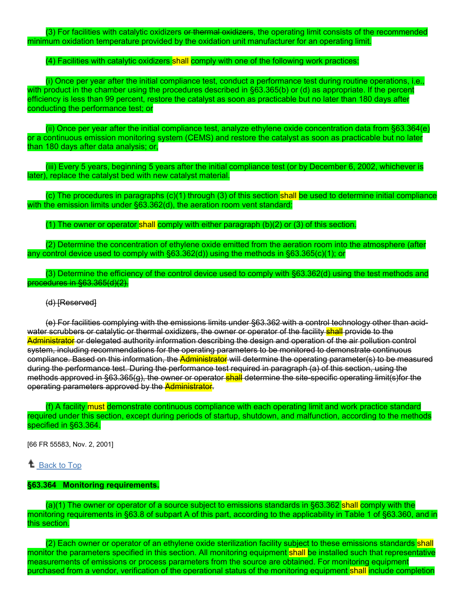(3) For facilities with catalytic oxidizers or thermal oxidizers, the operating limit consists of the recommended minimum oxidation temperature provided by the oxidation unit manufacturer for an operating limit.

### (4) Facilities with catalytic oxidizers shall comply with one of the following work practices:

(i) Once per year after the initial compliance test, conduct a performance test during routine operations, i.e., with product in the chamber using the procedures described in §63.365(b) or (d) as appropriate. If the percent efficiency is less than 99 percent, restore the catalyst as soon as practicable but no later than 180 days after conducting the performance test; or

(ii) Once per year after the initial compliance test, analyze ethylene oxide concentration data from §63.364(e) or a continuous emission monitoring system (CEMS) and restore the catalyst as soon as practicable but no later than 180 days after data analysis; or,

(iii) Every 5 years, beginning 5 years after the initial compliance test (or by December 6, 2002, whichever is later), replace the catalyst bed with new catalyst material.

 $(c)$  The procedures in paragraphs  $(c)(1)$  through (3) of this section shall be used to determine initial compliance with the emission limits under §63.362(d), the aeration room vent standard:

(1) The owner or operator shall comply with either paragraph (b)(2) or (3) of this section.

(2) Determine the concentration of ethylene oxide emitted from the aeration room into the atmosphere (after any control device used to comply with §63.362(d)) using the methods in §63.365(c)(1); or

(3) Determine the efficiency of the control device used to comply with §63.362(d) using the test methods and procedures in §63.365(d)(2).

### (d) [Reserved]

(e) For facilities complying with the emissions limits under §63.362 with a control technology other than acidwater scrubbers or catalytic or thermal oxidizers, the owner or operator of the facility shall provide to the Administrator or delegated authority information describing the design and operation of the air pollution control system, including recommendations for the operating parameters to be monitored to demonstrate continuous compliance. Based on this information, the Administrator will determine the operating parameter(s) to be measured during the performance test. During the performance test required in paragraph (a) of this section, using the methods approved in §63.365(g), the owner or operator shall determine the site-specific operating limit(s)for the operating parameters approved by the Administrator.

(f) A facility must demonstrate continuous compliance with each operating limit and work practice standard required under this section, except during periods of startup, shutdown, and malfunction, according to the methods specified in §63.364.

[66 FR 55583, Nov. 2, 2001]

<sup>1</sup> [Back to Top](https://www.ecfr.gov/cgi-bin/text-idx?SID=fa23413a701b00b8ded2a0ec8d450156&mc=true&node=sp40.11.63.o&rgn=div6#_top)

### **§63.364 Monitoring requirements.**

(a)(1) The owner or operator of a source subject to emissions standards in §63.362 shall comply with the monitoring requirements in §63.8 of subpart A of this part, according to the applicability in Table 1 of §63.360, and in this section.

(2) Each owner or operator of an ethylene oxide sterilization facility subject to these emissions standards shall monitor the parameters specified in this section. All monitoring equipment shall be installed such that representative measurements of emissions or process parameters from the source are obtained. For monitoring equipment purchased from a vendor, verification of the operational status of the monitoring equipment shall include completion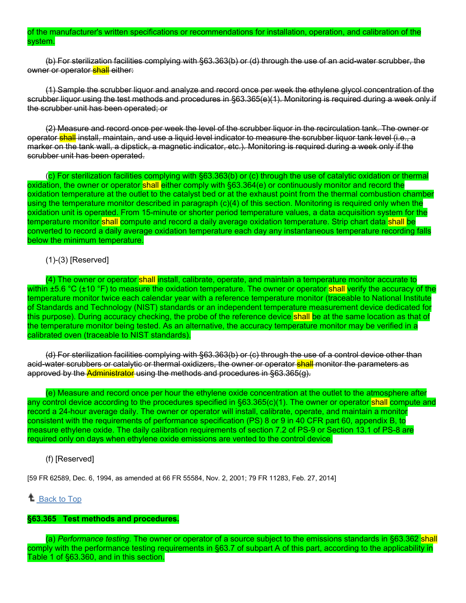### of the manufacturer's written specifications or recommendations for installation, operation, and calibration of the system.

(b) For sterilization facilities complying with §63.363(b) or (d) through the use of an acid-water scrubber, the owner or operator shall either:

(1) Sample the scrubber liquor and analyze and record once per week the ethylene glycol concentration of the scrubber liquor using the test methods and procedures in §63.365(e)(1). Monitoring is required during a week only if the scrubber unit has been operated; or

(2) Measure and record once per week the level of the scrubber liquor in the recirculation tank. The owner or operator shall install, maintain, and use a liquid level indicator to measure the scrubber liquor tank level (i.e., a marker on the tank wall, a dipstick, a magnetic indicator, etc.). Monitoring is required during a week only if the scrubber unit has been operated.

(c) For sterilization facilities complying with §63.363(b) or (c) through the use of catalytic oxidation or thermal oxidation, the owner or operator shall either comply with §63.364(e) or continuously monitor and record the oxidation temperature at the outlet to the catalyst bed or at the exhaust point from the thermal combustion chamber using the temperature monitor described in paragraph (c)(4) of this section. Monitoring is required only when the oxidation unit is operated. From 15-minute or shorter period temperature values, a data acquisition system for the temperature monitor shall compute and record a daily average oxidation temperature. Strip chart data shall be converted to record a daily average oxidation temperature each day any instantaneous temperature recording falls below the minimum temperature.

# (1)-(3) [Reserved]

(4) The owner or operator shall install, calibrate, operate, and maintain a temperature monitor accurate to within ±5.6 °C (±10 °F) to measure the oxidation temperature. The owner or operator shall <mark>verify the accuracy of the</mark> temperature monitor twice each calendar year with a reference temperature monitor (traceable to National Institute of Standards and Technology (NIST) standards or an independent temperature measurement device dedicated for this purpose). During accuracy checking, the probe of the reference device shall be at the same location as that of the temperature monitor being tested. As an alternative, the accuracy temperature monitor may be verified in a calibrated oven (traceable to NIST standards).

(d) For sterilization facilities complying with §63.363(b) or (c) through the use of a control device other than acid-water scrubbers or catalytic or thermal oxidizers, the owner or operator shall monitor the parameters as approved by the Administrator using the methods and procedures in §63.365(g).

(e) Measure and record once per hour the ethylene oxide concentration at the outlet to the atmosphere after any control device according to the procedures specified in §63.365(c)(1). The owner or operator shall compute and record a 24-hour average daily. The owner or operator will install, calibrate, operate, and maintain a monitor consistent with the requirements of performance specification (PS) 8 or 9 in 40 CFR part 60, appendix B, to measure ethylene oxide. The daily calibration requirements of section 7.2 of PS-9 or Section 13.1 of PS-8 are required only on days when ethylene oxide emissions are vented to the control device.

### (f) [Reserved]

[59 FR 62589, Dec. 6, 1994, as amended at 66 FR 55584, Nov. 2, 2001; 79 FR 11283, Feb. 27, 2014]

# <sup>1</sup> [Back to Top](https://www.ecfr.gov/cgi-bin/text-idx?SID=fa23413a701b00b8ded2a0ec8d450156&mc=true&node=sp40.11.63.o&rgn=div6#_top)

# **§63.365 Test methods and procedures.**

(a) *Performance testing.* The owner or operator of a source subject to the emissions standards in §63.362 shall comply with the performance testing requirements in §63.7 of subpart A of this part, according to the applicability in Table 1 of §63.360, and in this section.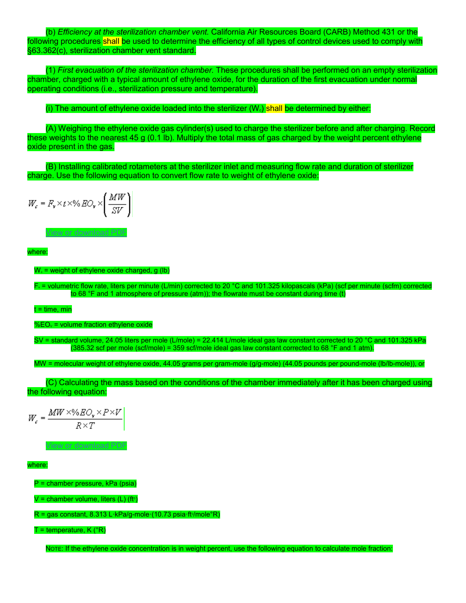(b) *Efficiency at the sterilization chamber vent.* California Air Resources Board (CARB) Method 431 or the following procedures shall be used to determine the efficiency of all types of control devices used to comply with §63.362(c), sterilization chamber vent standard.

(1) *First evacuation of the sterilization chamber.* These procedures shall be performed on an empty sterilization chamber, charged with a typical amount of ethylene oxide, for the duration of the first evacuation under normal operating conditions (i.e., sterilization pressure and temperature).

(i) The amount of ethylene oxide loaded into the sterilizer  $(W<sub>e</sub>)$  shall be determined by either:

(A) Weighing the ethylene oxide gas cylinder(s) used to charge the sterilizer before and after charging. Record these weights to the nearest 45 g (0.1 lb). Multiply the total mass of gas charged by the weight percent ethylene oxide present in the gas.

(B) Installing calibrated rotameters at the sterilizer inlet and measuring flow rate and duration of sterilizer charge. Use the following equation to convert flow rate to weight of ethylene oxide:

$$
W_c = F_v \times t \times \% \, EO_v \times \left(\frac{MW}{SV}\right)
$$

[View or download PDF](https://www.ecfr.gov/graphics/pdfs/er06de94.024.pdf)

where:

 $W<sub>c</sub>$  = weight of ethylene oxide charged, g (lb)

Fv = volumetric flow rate, liters per minute (L/min) corrected to 20 °C and 101.325 kilopascals (kPa) (scf per minute (scfm) corrected to 68 °F and 1 atmosphere of pressure (atm)); the flowrate must be constant during time (t)

t = time, min

 $%EO_{v}$  = volume fraction ethylene oxide

SV = standard volume, 24.05 liters per mole (L/mole) = 22.414 L/mole ideal gas law constant corrected to 20 °C and 101.325 kPa (385.32 scf per mole (scf/mole) = 359 scf/mole ideal gas law constant corrected to 68 °F and 1 atm).

MW = molecular weight of ethylene oxide, 44.05 grams per gram-mole (g/g-mole) (44.05 pounds per pound-mole (lb/lb-mole)), or

(C) Calculating the mass based on the conditions of the chamber immediately after it has been charged using the following equation:

$$
W_c = \frac{MW \times \%EO_v \times P \times V}{R \times T}
$$

[View or download PDF](https://www.ecfr.gov/graphics/pdfs/er06de94.025.pdf)

where:

P = chamber pressure, kPa (psia)

V = chamber volume, liters (L) (ftɜ)

R = gas constant, 8.313 L·kPa/g-mole·(10.73 psia·ft¾/mole°R)

 $T =$  temperature,  $K$  ( ${}^{\circ}R$ )

NOTE: If the ethylene oxide concentration is in weight percent, use the following equation to calculate mole fraction: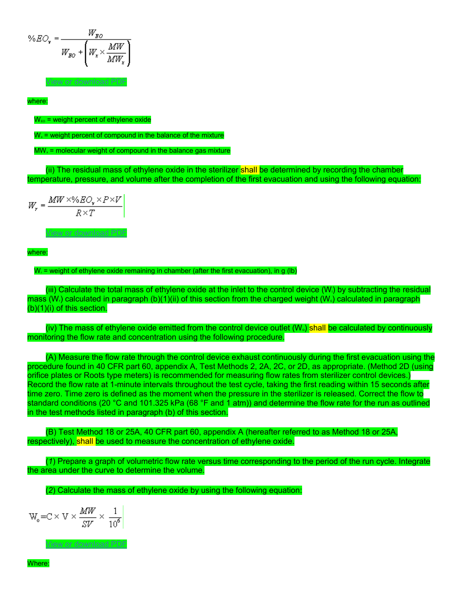$$
\%EO_{v} = \frac{W_{go}}{W_{go} + \left(W_{x} \times \frac{MW}{MW_{x}}\right)}
$$

[View or download PDF](https://www.ecfr.gov/graphics/pdfs/er06de94.026.pdf)

where:

 $W_{E0}$  = weight percent of ethylene oxide

 $W<sub>x</sub>$  = weight percent of compound in the balance of the mixture

 $MW<sub>x</sub>$  = molecular weight of compound in the balance gas mixture

(ii) The residual mass of ethylene oxide in the sterilizer shall be determined by recording the chamber temperature, pressure, and volume after the completion of the first evacuation and using the following equation:

 $W_r = \frac{MW \times \%EO_r \times P \times V}{R \times T}$ 

[View or download PDF](https://www.ecfr.gov/graphics/pdfs/er06de94.027.pdf)

where:

 $W<sub>r</sub>$  = weight of ethylene oxide remaining in chamber (after the first evacuation), in g (lb)

(iii) Calculate the total mass of ethylene oxide at the inlet to the control device (Wi) by subtracting the residual mass (W<sub>t</sub>) calculated in paragraph (b)(1)(ii) of this section from the charged weight (W<sub>s</sub>) calculated in paragraph  $(b)(1)(i)$  of this section.

(iv) The mass of ethylene oxide emitted from the control device outlet  $(W_0)$  shall be calculated by continuously monitoring the flow rate and concentration using the following procedure.

(A) Measure the flow rate through the control device exhaust continuously during the first evacuation using the procedure found in 40 CFR part 60, appendix A, Test Methods 2, 2A, 2C, or 2D, as appropriate. (Method 2D (using orifice plates or Roots type meters) is recommended for measuring flow rates from sterilizer control devices.) Record the flow rate at 1-minute intervals throughout the test cycle, taking the first reading within 15 seconds after time zero. Time zero is defined as the moment when the pressure in the sterilizer is released. Correct the flow to standard conditions (20 °C and 101.325 kPa (68 °F and 1 atm)) and determine the flow rate for the run as outlined in the test methods listed in paragraph (b) of this section.

(B) Test Method 18 or 25A, 40 CFR part 60, appendix A (hereafter referred to as Method 18 or 25A, respectively), shall be used to measure the concentration of ethylene oxide.

(*1*) Prepare a graph of volumetric flow rate versus time corresponding to the period of the run cycle. Integrate the area under the curve to determine the volume.

(*2*) Calculate the mass of ethylene oxide by using the following equation:

$$
W_o = C \times V \times \frac{MW}{SV} \times \frac{1}{10^6}
$$

[View or download PDF](https://www.ecfr.gov/graphics/pdfs/er02no01.002.pdf)

Where: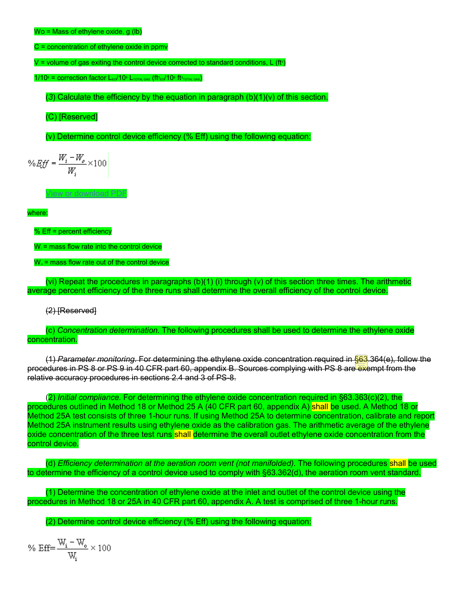C = concentration of ethylene oxide in ppmv

V = volume of gas exiting the control device corrected to standard conditions, L (ft $^3$ )

 $1/10<sup>6</sup>$  = correction factor L<sub>EO</sub>/10<sup>6</sup> L<sub>TOTAL GAS</sub> (ft<sup>3</sup><sub>EO</sub>/10<sup>6</sup> ft3<sub>TOTAL GAS</sub>)

(3) Calculate the efficiency by the equation in paragraph  $(b)(1)(v)$  of this section.

(C) [Reserved]

(v) Determine control device efficiency (% Eff) using the following equation:

$$
\% \mathit{Eff} = \frac{W_i - W_o}{W_i} \times 100
$$

[View or download PDF](https://www.ecfr.gov/graphics/pdfs/er06de94.030.pdf)

where:

% Eff = percent efficiency

 $W_i$  = mass flow rate into the control device

 $W<sub>o</sub>$  = mass flow rate out of the control device

(vi) Repeat the procedures in paragraphs (b)(1) (i) through (v) of this section three times. The arithmetic average percent efficiency of the three runs shall determine the overall efficiency of the control device.

(2) [Reserved]

(c) *Concentration determination.* The following procedures shall be used to determine the ethylene oxide concentration.

(1) *Parameter monitoring.* For determining the ethylene oxide concentration required in §63.364(e), follow the procedures in PS 8 or PS 9 in 40 CFR part 60, appendix B. Sources complying with PS 8 are exempt from the relative accuracy procedures in sections 2.4 and 3 of PS-8.

(2) *Initial compliance.* For determining the ethylene oxide concentration required in §63.363(c)(2), the procedures outlined in Method 18 or Method 25 A (40 CFR part 60, appendix A) shall be used. A Method 18 or Method 25A test consists of three 1-hour runs. If using Method 25A to determine concentration, calibrate and report Method 25A instrument results using ethylene oxide as the calibration gas. The arithmetic average of the ethylene oxide concentration of the three test runs shall determine the overall outlet ethylene oxide concentration from the control device.

(d) *Efficiency determination at the aeration room vent (not manifolded).* The following procedures shall be used to determine the efficiency of a control device used to comply with §63.362(d), the aeration room vent standard.

(1) Determine the concentration of ethylene oxide at the inlet and outlet of the control device using the procedures in Method 18 or 25A in 40 CFR part 60, appendix A. A test is comprised of three 1-hour runs.

(2) Determine control device efficiency (% Eff) using the following equation:

$$
\%\ \mathrm{Eff}{=}\frac{\mathrm{W_{i}-W_{o}}}{\mathrm{W_{i}}}\times100
$$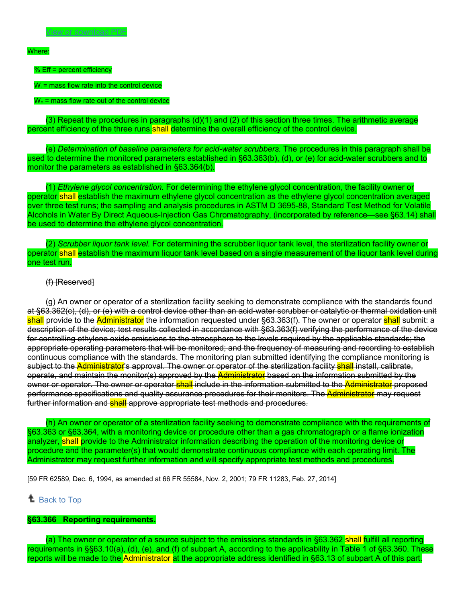#### Where:

% Eff = percent efficiency

 $W_i$  = mass flow rate into the control device

#### $W<sub>o</sub>$  = mass flow rate out of the control device

(3) Repeat the procedures in paragraphs (d)(1) and (2) of this section three times. The arithmetic average percent efficiency of the three runs shall determine the overall efficiency of the control device.

(e) *Determination of baseline parameters for acid-water scrubbers.* The procedures in this paragraph shall be used to determine the monitored parameters established in §63.363(b), (d), or (e) for acid-water scrubbers and to monitor the parameters as established in §63.364(b).

(1) *Ethylene glycol concentration.* For determining the ethylene glycol concentration, the facility owner or operator shall establish the maximum ethylene glycol concentration as the ethylene glycol concentration averaged over three test runs; the sampling and analysis procedures in ASTM D 3695-88, Standard Test Method for Volatile Alcohols in Water By Direct Aqueous-Injection Gas Chromatography, (incorporated by reference—see §63.14) shall be used to determine the ethylene glycol concentration.

(2) *Scrubber liquor tank level.* For determining the scrubber liquor tank level, the sterilization facility owner or operator shall establish the maximum liquor tank level based on a single measurement of the liquor tank level during one test run.

### (f) [Reserved]

(g) An owner or operator of a sterilization facility seeking to demonstrate compliance with the standards found at §63.362(c), (d), or (e) with a control device other than an acid-water scrubber or catalytic or thermal oxidation unit shall provide to the Administrator the information requested under §63.363(f). The owner or operator shall submit: a description of the device; test results collected in accordance with §63.363(f) verifying the performance of the device for controlling ethylene oxide emissions to the atmosphere to the levels required by the applicable standards; the appropriate operating parameters that will be monitored; and the frequency of measuring and recording to establish continuous compliance with the standards. The monitoring plan submitted identifying the compliance monitoring is subject to the Administrator's approval. The owner or operator of the sterilization facility shall install, calibrate, operate, and maintain the monitor(s) approved by the Administrator based on the information submitted by the owner or operator. The owner or operator shall include in the information submitted to the Administrator proposed performance specifications and quality assurance procedures for their monitors. The Administrator may request further information and **shall** approve appropriate test methods and procedures.

(h) An owner or operator of a sterilization facility seeking to demonstrate compliance with the requirements of §63.363 or §63.364, with a monitoring device or procedure other than a gas chromatograph or a flame ionization analyzer, shall provide to the Administrator information describing the operation of the monitoring device or procedure and the parameter(s) that would demonstrate continuous compliance with each operating limit. The Administrator may request further information and will specify appropriate test methods and procedures.

[59 FR 62589, Dec. 6, 1994, as amended at 66 FR 55584, Nov. 2, 2001; 79 FR 11283, Feb. 27, 2014]

### **L** [Back to Top](https://www.ecfr.gov/cgi-bin/text-idx?SID=fa23413a701b00b8ded2a0ec8d450156&mc=true&node=sp40.11.63.o&rgn=div6#_top)

### **§63.366 Reporting requirements.**

(a) The owner or operator of a source subject to the emissions standards in §63.362 shall fulfill all reporting requirements in §§63.10(a), (d), (e), and (f) of subpart A, according to the applicability in Table 1 of §63.360. These reports will be made to the Administrator at the appropriate address identified in §63.13 of subpart A of this part.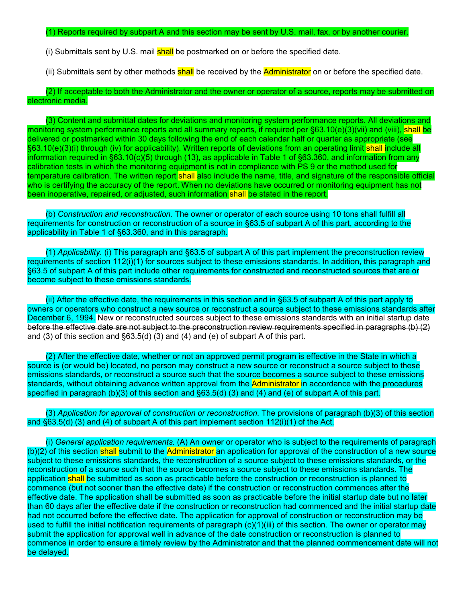#### (1) Reports required by subpart A and this section may be sent by U.S. mail, fax, or by another courier.

(i) Submittals sent by U.S. mail **shall** be postmarked on or before the specified date.

(ii) Submittals sent by other methods shall be received by the **Administrator** on or before the specified date.

(2) If acceptable to both the Administrator and the owner or operator of a source, reports may be submitted on electronic media.

(3) Content and submittal dates for deviations and monitoring system performance reports. All deviations and monitoring system performance reports and all summary reports, if required per §63.10(e)(3)(vii) and (viii), shall be delivered or postmarked within 30 days following the end of each calendar half or quarter as appropriate (see §63.10(e)(3)(i) through (iv) for applicability). Written reports of deviations from an operating limit shall include all information required in §63.10(c)(5) through (13), as applicable in Table 1 of §63.360, and information from any calibration tests in which the monitoring equipment is not in compliance with PS 9 or the method used for temperature calibration. The written report shall also include the name, title, and signature of the responsible official who is certifying the accuracy of the report. When no deviations have occurred or monitoring equipment has not been inoperative, repaired, or adjusted, such information shall be stated in the report.

(b) *Construction and reconstruction.* The owner or operator of each source using 10 tons shall fulfill all requirements for construction or reconstruction of a source in §63.5 of subpart A of this part, according to the applicability in Table 1 of §63.360, and in this paragraph.

(1) *Applicability.* (i) This paragraph and §63.5 of subpart A of this part implement the preconstruction review requirements of section 112(i)(1) for sources subject to these emissions standards. In addition, this paragraph and §63.5 of subpart A of this part include other requirements for constructed and reconstructed sources that are or become subject to these emissions standards.

(ii) After the effective date, the requirements in this section and in §63.5 of subpart A of this part apply to owners or operators who construct a new source or reconstruct a source subject to these emissions standards after December 6, 1994. New or reconstructed sources subject to these emissions standards with an initial startup date before the effective date are not subject to the preconstruction review requirements specified in paragraphs (b) (2) and (3) of this section and §63.5(d) (3) and (4) and (e) of subpart A of this part.

(2) After the effective date, whether or not an approved permit program is effective in the State in which a source is (or would be) located, no person may construct a new source or reconstruct a source subject to these emissions standards, or reconstruct a source such that the source becomes a source subject to these emissions standards, without obtaining advance written approval from the Administrator in accordance with the procedures specified in paragraph (b)(3) of this section and §63.5(d) (3) and (4) and (e) of subpart A of this part.

(3) *Application for approval of construction or reconstruction.* The provisions of paragraph (b)(3) of this section and §63.5(d) (3) and (4) of subpart A of this part implement section 112(i)(1) of the Act.

(i) *General application requirements.* (A) An owner or operator who is subject to the requirements of paragraph (b)(2) of this section shall submit to the Administrator an application for approval of the construction of a new source subject to these emissions standards, the reconstruction of a source subject to these emissions standards, or the reconstruction of a source such that the source becomes a source subject to these emissions standards. The application shall be submitted as soon as practicable before the construction or reconstruction is planned to commence (but not sooner than the effective date) if the construction or reconstruction commences after the effective date. The application shall be submitted as soon as practicable before the initial startup date but no later than 60 days after the effective date if the construction or reconstruction had commenced and the initial startup date had not occurred before the effective date. The application for approval of construction or reconstruction may be used to fulfill the initial notification requirements of paragraph (c)(1)(iii) of this section. The owner or operator may submit the application for approval well in advance of the date construction or reconstruction is planned to commence in order to ensure a timely review by the Administrator and that the planned commencement date will not be delayed.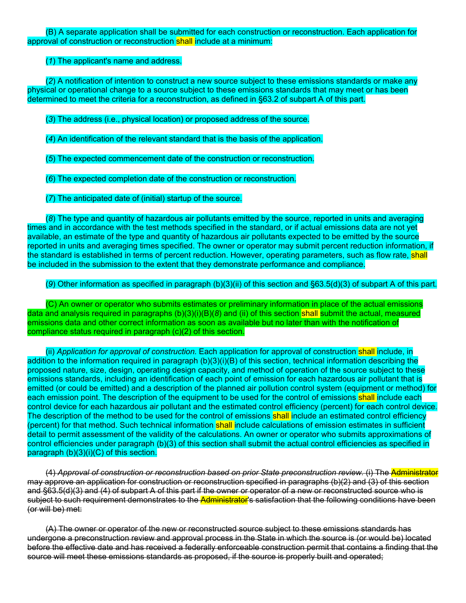(B) A separate application shall be submitted for each construction or reconstruction. Each application for approval of construction or reconstruction shall include at a minimum:

## (*1*) The applicant's name and address.

(*2*) A notification of intention to construct a new source subject to these emissions standards or make any physical or operational change to a source subject to these emissions standards that may meet or has been determined to meet the criteria for a reconstruction, as defined in §63.2 of subpart A of this part.

(*3*) The address (i.e., physical location) or proposed address of the source.

(*4*) An identification of the relevant standard that is the basis of the application.

(*5*) The expected commencement date of the construction or reconstruction.

(*6*) The expected completion date of the construction or reconstruction.

(*7*) The anticipated date of (initial) startup of the source.

(*8*) The type and quantity of hazardous air pollutants emitted by the source, reported in units and averaging times and in accordance with the test methods specified in the standard, or if actual emissions data are not yet available, an estimate of the type and quantity of hazardous air pollutants expected to be emitted by the source reported in units and averaging times specified. The owner or operator may submit percent reduction information, if the standard is established in terms of percent reduction. However, operating parameters, such as flow rate, shall be included in the submission to the extent that they demonstrate performance and compliance.

# (*9*) Other information as specified in paragraph (b)(3)(ii) of this section and §63.5(d)(3) of subpart A of this part.

(C) An owner or operator who submits estimates or preliminary information in place of the actual emissions data and analysis required in paragraphs (b)(3)(i)(B)(*8*) and (ii) of this section shall submit the actual, measured emissions data and other correct information as soon as available but no later than with the notification of compliance status required in paragraph (c)(2) of this section.

(ii) *Application for approval of construction.* Each application for approval of construction shall include, in addition to the information required in paragraph (b)(3)(i)(B) of this section, technical information describing the proposed nature, size, design, operating design capacity, and method of operation of the source subject to these emissions standards, including an identification of each point of emission for each hazardous air pollutant that is emitted (or could be emitted) and a description of the planned air pollution control system (equipment or method) for each emission point. The description of the equipment to be used for the control of emissions shall include each control device for each hazardous air pollutant and the estimated control efficiency (percent) for each control device. The description of the method to be used for the control of emissions shall include an estimated control efficiency (percent) for that method. Such technical information shall include calculations of emission estimates in sufficient detail to permit assessment of the validity of the calculations. An owner or operator who submits approximations of control efficiencies under paragraph (b)(3) of this section shall submit the actual control efficiencies as specified in paragraph (b)(3)(i)(C) of this section.

(4) *Approval of construction or reconstruction based on prior State preconstruction review.* (i) The Administrator may approve an application for construction or reconstruction specified in paragraphs (b)(2) and (3) of this section and §63.5(d)(3) and (4) of subpart A of this part if the owner or operator of a new or reconstructed source who is subject to such requirement demonstrates to the Administrator's satisfaction that the following conditions have been (or will be) met:

(A) The owner or operator of the new or reconstructed source subject to these emissions standards has undergone a preconstruction review and approval process in the State in which the source is (or would be) located before the effective date and has received a federally enforceable construction permit that contains a finding that the source will meet these emissions standards as proposed, if the source is properly built and operated;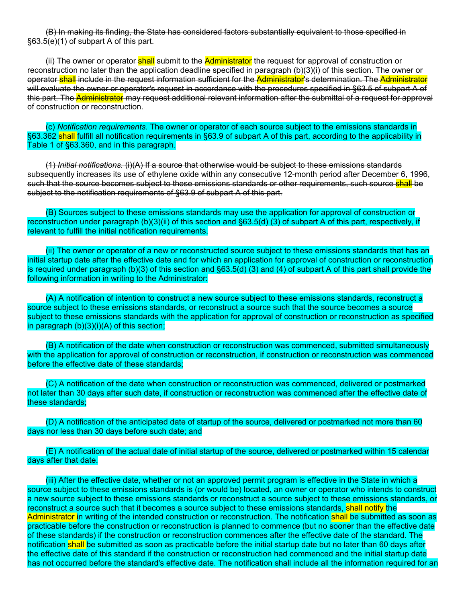(B) In making its finding, the State has considered factors substantially equivalent to those specified in §63.5(e)(1) of subpart A of this part.

(ii) The owner or operator shall submit to the Administrator the request for approval of construction or reconstruction no later than the application deadline specified in paragraph (b)(3)(i) of this section. The owner or operator shall include in the request information sufficient for the Administrator's determination. The Administrator will evaluate the owner or operator's request in accordance with the procedures specified in §63.5 of subpart A of this part. The Administrator may request additional relevant information after the submittal of a request for approval of construction or reconstruction.

(c) *Notification requirements.* The owner or operator of each source subject to the emissions standards in §63.362 shall fulfill all notification requirements in §63.9 of subpart A of this part, according to the applicability in Table 1 of §63.360, and in this paragraph.

(1) *Initial notifications.* (i)(A) If a source that otherwise would be subject to these emissions standards subsequently increases its use of ethylene oxide within any consecutive 12-month period after December 6, 1996, such that the source becomes subject to these emissions standards or other requirements, such source shall be subject to the notification requirements of §63.9 of subpart A of this part.

(B) Sources subject to these emissions standards may use the application for approval of construction or reconstruction under paragraph (b)(3)(ii) of this section and §63.5(d) (3) of subpart A of this part, respectively, if relevant to fulfill the initial notification requirements.

(ii) The owner or operator of a new or reconstructed source subject to these emissions standards that has an initial startup date after the effective date and for which an application for approval of construction or reconstruction is required under paragraph (b)(3) of this section and §63.5(d) (3) and (4) of subpart A of this part shall provide the following information in writing to the Administrator:

(A) A notification of intention to construct a new source subject to these emissions standards, reconstruct a source subject to these emissions standards, or reconstruct a source such that the source becomes a source subject to these emissions standards with the application for approval of construction or reconstruction as specified in paragraph (b)(3)(i)(A) of this section;

(B) A notification of the date when construction or reconstruction was commenced, submitted simultaneously with the application for approval of construction or reconstruction, if construction or reconstruction was commenced before the effective date of these standards;

(C) A notification of the date when construction or reconstruction was commenced, delivered or postmarked not later than 30 days after such date, if construction or reconstruction was commenced after the effective date of these standards;

(D) A notification of the anticipated date of startup of the source, delivered or postmarked not more than 60 days nor less than 30 days before such date; and

(E) A notification of the actual date of initial startup of the source, delivered or postmarked within 15 calendar days after that date.

(iii) After the effective date, whether or not an approved permit program is effective in the State in which a source subject to these emissions standards is (or would be) located, an owner or operator who intends to construct a new source subject to these emissions standards or reconstruct a source subject to these emissions standards, or reconstruct a source such that it becomes a source subject to these emissions standards, shall notify the Administrator in writing of the intended construction or reconstruction. The notification shall be submitted as soon as practicable before the construction or reconstruction is planned to commence (but no sooner than the effective date of these standards) if the construction or reconstruction commences after the effective date of the standard. The notification shall be submitted as soon as practicable before the initial startup date but no later than 60 days after the effective date of this standard if the construction or reconstruction had commenced and the initial startup date has not occurred before the standard's effective date. The notification shall include all the information required for an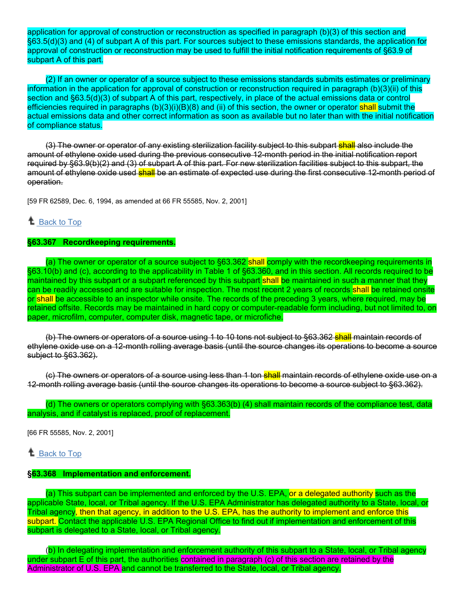application for approval of construction or reconstruction as specified in paragraph (b)(3) of this section and §63.5(d)(3) and (4) of subpart A of this part. For sources subject to these emissions standards, the application for approval of construction or reconstruction may be used to fulfill the initial notification requirements of §63.9 of subpart A of this part.

(2) If an owner or operator of a source subject to these emissions standards submits estimates or preliminary information in the application for approval of construction or reconstruction required in paragraph (b)(3)(ii) of this section and §63.5(d)(3) of subpart A of this part, respectively, in place of the actual emissions data or control efficiencies required in paragraphs (b)(3)(i)(B)(8) and (ii) of this section, the owner or operator shall submit the actual emissions data and other correct information as soon as available but no later than with the initial notification of compliance status.

(3) The owner or operator of any existing sterilization facility subject to this subpart shall also include the amount of ethylene oxide used during the previous consecutive 12-month period in the initial notification report required by §63.9(b)(2) and (3) of subpart A of this part. For new sterilization facilities subject to this subpart, the amount of ethylene oxide used shall be an estimate of expected use during the first consecutive 12-month period of operation.

[59 FR 62589, Dec. 6, 1994, as amended at 66 FR 55585, Nov. 2, 2001]

# *L* [Back to Top](https://www.ecfr.gov/cgi-bin/text-idx?SID=fa23413a701b00b8ded2a0ec8d450156&mc=true&node=sp40.11.63.o&rgn=div6#_top)

### **§63.367 Recordkeeping requirements.**

(a) The owner or operator of a source subject to §63.362 shall comply with the recordkeeping requirements in §63.10(b) and (c), according to the applicability in Table 1 of §63.360, and in this section. All records required to be maintained by this subpart or a subpart referenced by this subpart shall be maintained in such a manner that they can be readily accessed and are suitable for inspection. The most recent 2 years of records shall be retained onsite or shall be accessible to an inspector while onsite. The records of the preceding 3 years, where required, may be retained offsite. Records may be maintained in hard copy or computer-readable form including, but not limited to, on paper, microfilm, computer, computer disk, magnetic tape, or microfiche.

(b) The owners or operators of a source using 1 to 10 tons not subject to §63.362 shall maintain records of ethylene oxide use on a 12-month rolling average basis (until the source changes its operations to become a source subject to §63.362).

(c) The owners or operators of a source using less than 1 ton shall maintain records of ethylene oxide use on a 12-month rolling average basis (until the source changes its operations to become a source subject to §63.362).

(d) The owners or operators complying with §63.363(b) (4) shall maintain records of the compliance test, data analysis, and if catalyst is replaced, proof of replacement.

[66 FR 55585, Nov. 2, 2001]

 $\triangle$  [Back to Top](https://www.ecfr.gov/cgi-bin/text-idx?SID=fa23413a701b00b8ded2a0ec8d450156&mc=true&node=sp40.11.63.o&rgn=div6#_top)

# **§63.368 Implementation and enforcement.**

(a) This subpart can be implemented and enforced by the U.S. EPA, or a delegated authority such as the applicable State, local, or Tribal agency. If the U.S. EPA Administrator has delegated authority to a State, local, or Tribal agency, then that agency, in addition to the U.S. EPA, has the authority to implement and enforce this subpart. Contact the applicable U.S. EPA Regional Office to find out if implementation and enforcement of this subpart is delegated to a State, local, or Tribal agency.

(b) In delegating implementation and enforcement authority of this subpart to a State, local, or Tribal agency under subpart E of this part, the authorities contained in paragraph (c) of this section are retained by the Administrator of U.S. EPA and cannot be transferred to the State, local, or Tribal agency.